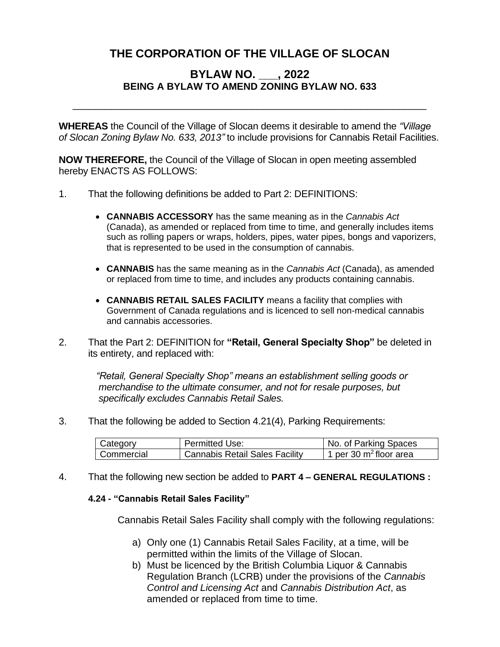## **THE CORPORATION OF THE VILLAGE OF SLOCAN**

## **BYLAW NO. \_\_\_, 2022 BEING A BYLAW TO AMEND ZONING BYLAW NO. 633**

**WHEREAS** the Council of the Village of Slocan deems it desirable to amend the *"Village of Slocan Zoning Bylaw No. 633, 2013"* to include provisions for Cannabis Retail Facilities.

\_\_\_\_\_\_\_\_\_\_\_\_\_\_\_\_\_\_\_\_\_\_\_\_\_\_\_\_\_\_\_\_\_\_\_\_\_\_\_\_\_\_\_\_\_\_\_\_\_\_\_\_\_\_\_\_\_\_\_\_\_\_\_\_\_

**NOW THEREFORE,** the Council of the Village of Slocan in open meeting assembled hereby ENACTS AS FOLLOWS:

- 1. That the following definitions be added to Part 2: DEFINITIONS:
	- **CANNABIS ACCESSORY** has the same meaning as in the *Cannabis Act*  (Canada), as amended or replaced from time to time, and generally includes items such as rolling papers or wraps, holders, pipes, water pipes, bongs and vaporizers, that is represented to be used in the consumption of cannabis.
	- **CANNABIS** has the same meaning as in the *Cannabis Act* (Canada), as amended or replaced from time to time, and includes any products containing cannabis.
	- **CANNABIS RETAIL SALES FACILITY** means a facility that complies with Government of Canada regulations and is licenced to sell non-medical cannabis and cannabis accessories.
- 2. That the Part 2: DEFINITION for **"Retail, General Specialty Shop"** be deleted in its entirety, and replaced with:

 *"Retail, General Specialty Shop" means an establishment selling goods or merchandise to the ultimate consumer, and not for resale purposes, but specifically excludes Cannabis Retail Sales.*

3. That the following be added to Section 4.21(4), Parking Requirements:

| Category   | <b>Permitted Use:</b>          | No. of Parking Spaces     |
|------------|--------------------------------|---------------------------|
| Commercial | Cannabis Retail Sales Facility | 1 per 30 $m^2$ floor area |

4. That the following new section be added to **PART 4 – GENERAL REGULATIONS :**

## **4.24 - "Cannabis Retail Sales Facility"**

Cannabis Retail Sales Facility shall comply with the following regulations:

- a) Only one (1) Cannabis Retail Sales Facility, at a time, will be permitted within the limits of the Village of Slocan.
- b) Must be licenced by the British Columbia Liquor & Cannabis Regulation Branch (LCRB) under the provisions of the *Cannabis Control and Licensing Act* and *Cannabis Distribution Act*, as amended or replaced from time to time.